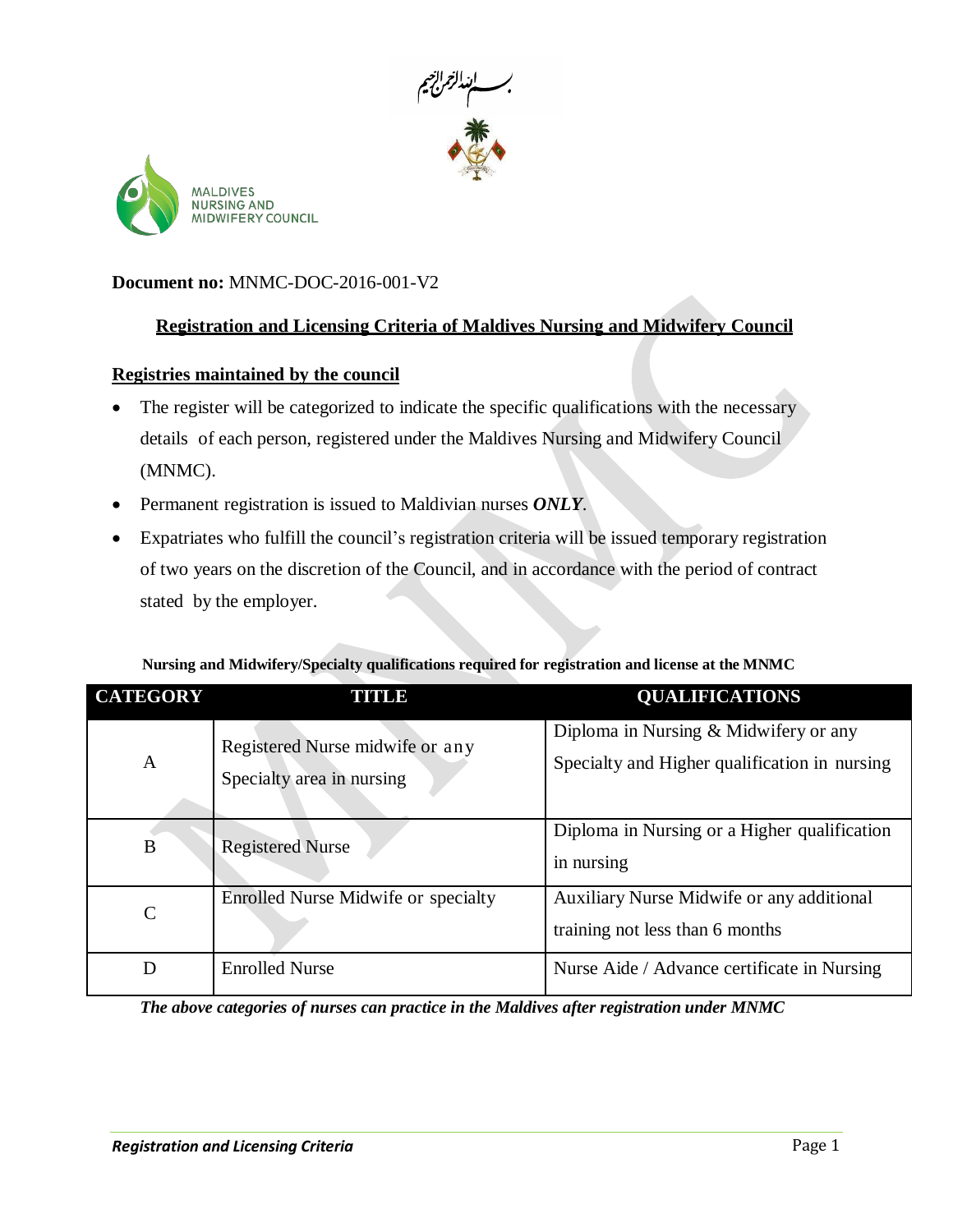



#### **Document no:** MNMC-DOC-2016-001-V2

# **Registration and Licensing Criteria of Maldives Nursing and Midwifery Council**

#### **Registries maintained by the council**

- The register will be categorized to indicate the specific qualifications with the necessary details of each person, registered under the Maldives Nursing and Midwifery Council (MNMC).
- Permanent registration is issued to Maldivian nurses *ONLY*.
- Expatriates who fulfill the council's registration criteria will be issued temporary registration of two years on the discretion of the Council, and in accordance with the period of contract stated by the employer.

| <b>CATEGORY</b> | <b>TITULE</b>                                                | <b>QUALIFICATIONS</b>                                                                  |
|-----------------|--------------------------------------------------------------|----------------------------------------------------------------------------------------|
| A               | Registered Nurse midwife or any<br>Specialty area in nursing | Diploma in Nursing & Midwifery or any<br>Specialty and Higher qualification in nursing |
| B               | <b>Registered Nurse</b>                                      | Diploma in Nursing or a Higher qualification<br>in nursing                             |
| $\mathcal{C}$   | <b>Enrolled Nurse Midwife or specialty</b>                   | Auxiliary Nurse Midwife or any additional<br>training not less than 6 months           |
| D               | <b>Enrolled Nurse</b>                                        | Nurse Aide / Advance certificate in Nursing                                            |

**Nursing and Midwifery/Specialty qualifications required for registration and license at the MNMC**

*The above categories of nurses can practice in the Maldives after registration under MNMC*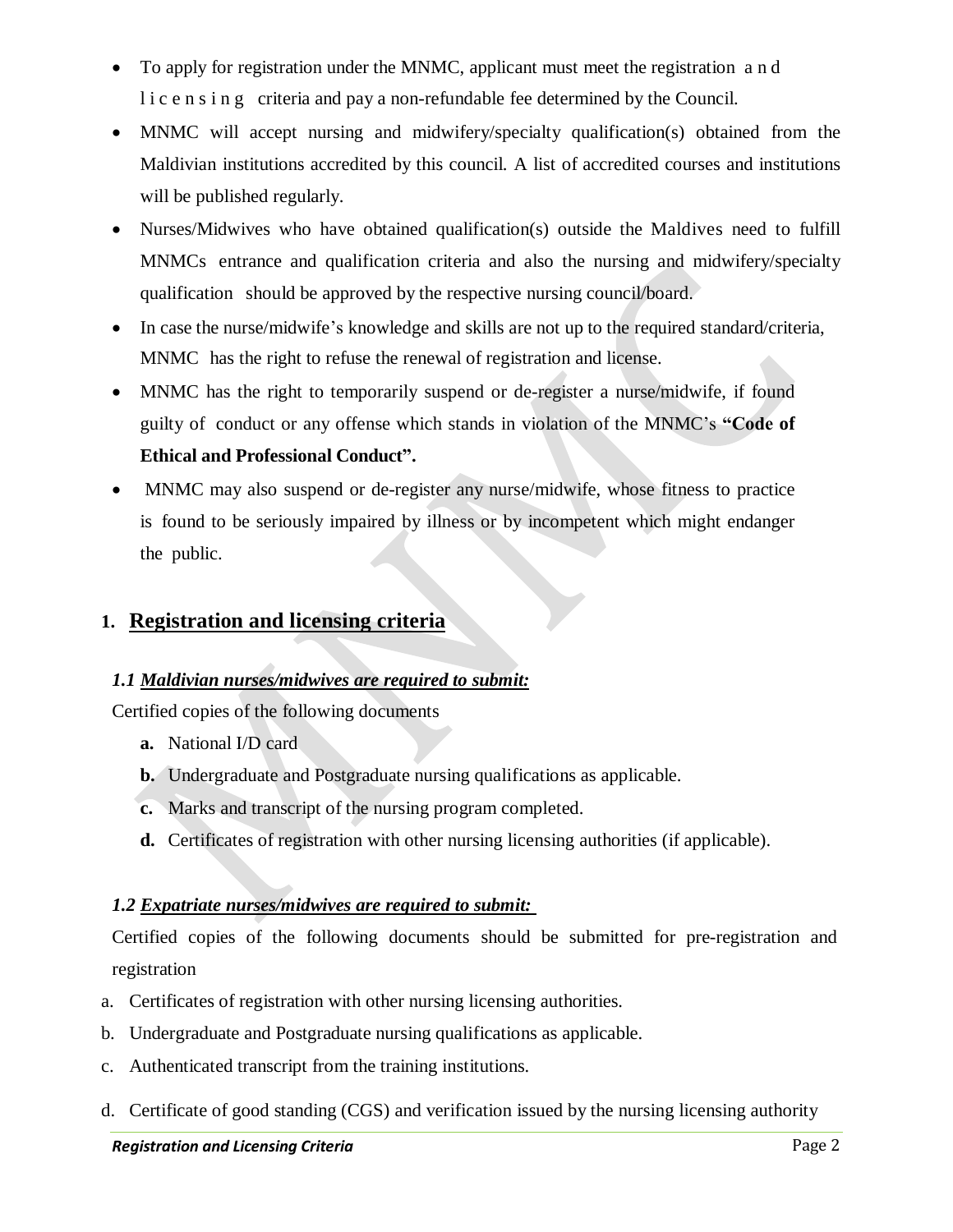- To apply for registration under the MNMC, applicant must meet the registration a n d l i c e n s i n g criteria and pay a non-refundable fee determined by the Council.
- MNMC will accept nursing and midwifery/specialty qualification(s) obtained from the Maldivian institutions accredited by this council. A list of accredited courses and institutions will be published regularly.
- Nurses/Midwives who have obtained qualification(s) outside the Maldives need to fulfill MNMCs entrance and qualification criteria and also the nursing and midwifery/specialty qualification should be approved by the respective nursing council/board.
- In case the nurse/midwife's knowledge and skills are not up to the required standard/criteria, MNMC has the right to refuse the renewal of registration and license.
- MNMC has the right to temporarily suspend or de-register a nurse/midwife, if found guilty of conduct or any offense which stands in violation of the MNMC's **"Code of Ethical and Professional Conduct".**
- MNMC may also suspend or de-register any nurse/midwife, whose fitness to practice is found to be seriously impaired by illness or by incompetent which might endanger the public.

# **1. Registration and licensing criteria**

#### *1.1 Maldivian nurses/midwives are required to submit:*

Certified copies of the following documents

- **a.** National I/D card
- **b.** Undergraduate and Postgraduate nursing qualifications as applicable.
- **c.** Marks and transcript of the nursing program completed.
- **d.** Certificates of registration with other nursing licensing authorities (if applicable).

#### *1.2 Expatriate nurses/midwives are required to submit:*

Certified copies of the following documents should be submitted for pre-registration and registration

- a. Certificates of registration with other nursing licensing authorities.
- b. Undergraduate and Postgraduate nursing qualifications as applicable.
- c. Authenticated transcript from the training institutions.
- d. Certificate of good standing (CGS) and verification issued by the nursing licensing authority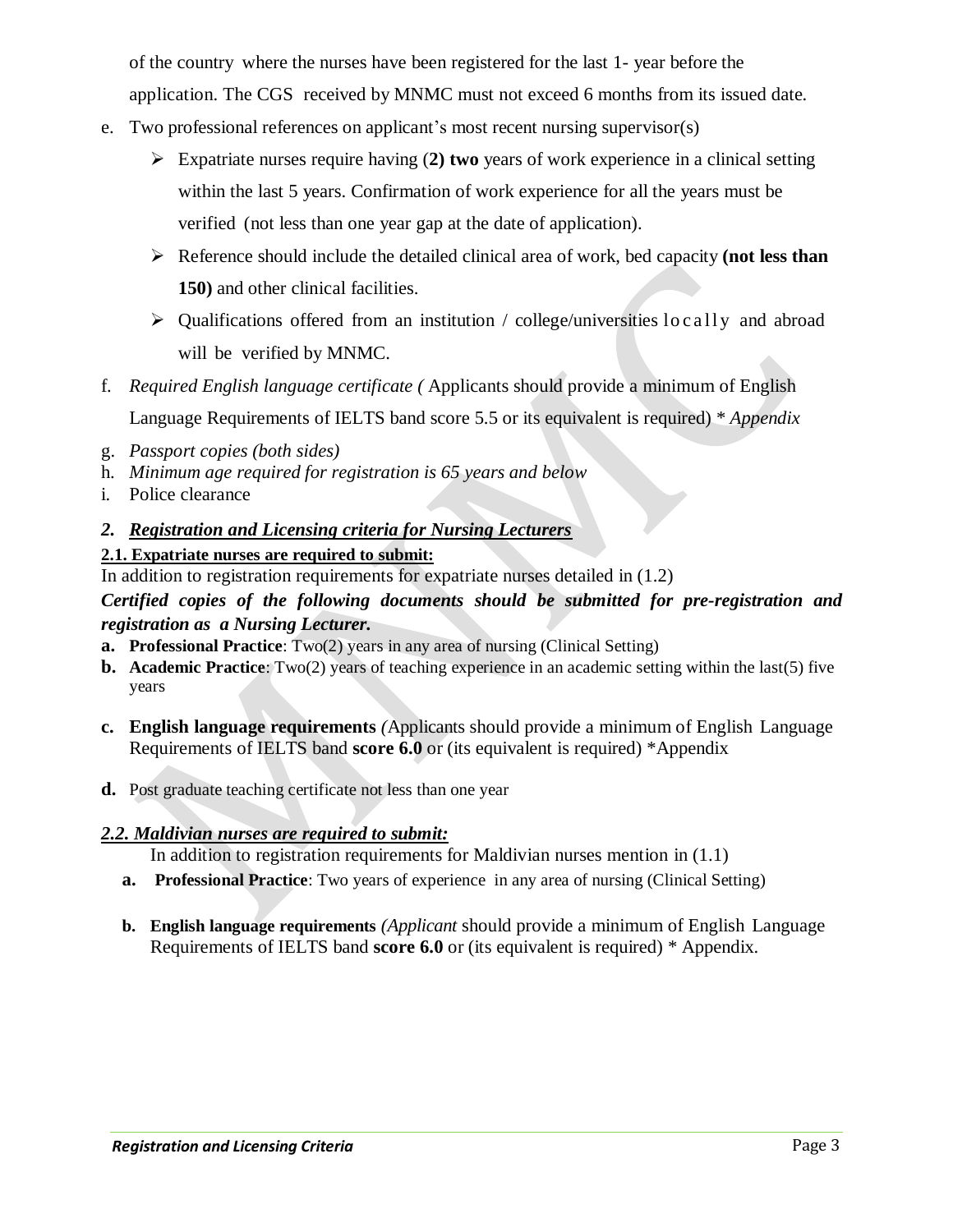of the country where the nurses have been registered for the last 1- year before the application. The CGS received by MNMC must not exceed 6 months from its issued date.

- e. Two professional references on applicant's most recent nursing supervisor(s)
	- Expatriate nurses require having (**2) two** years of work experience in a clinical setting within the last 5 years. Confirmation of work experience for all the years must be verified (not less than one year gap at the date of application).
	- Reference should include the detailed clinical area of work, bed capacity **(not less than 150)** and other clinical facilities.
	- $\triangleright$  Qualifications offered from an institution / college/universities locally and abroad will be verified by MNMC.
- f. *Required English language certificate (* Applicants should provide a minimum of English Language Requirements of IELTS band score 5.5 or its equivalent is required) \* *Appendix*
- g. *Passport copies (both sides)*
- h. *Minimum age required for registration is 65 years and below*
- i. Police clearance
- *2. Registration and Licensing criteria for Nursing Lecturers*

# **2.1. Expatriate nurses are required to submit:**

In addition to registration requirements for expatriate nurses detailed in (1.2)

# *Certified copies of the following documents should be submitted for pre-registration and registration as a Nursing Lecturer.*

- **a. Professional Practice**: Two(2) years in any area of nursing (Clinical Setting)
- **b. Academic Practice**: Two(2) years of teaching experience in an academic setting within the last(5) five years
- **c. English language requirements** *(*Applicants should provide a minimum of English Language Requirements of IELTS band **score 6.0** or (its equivalent is required) \*Appendix
- **d.** Post graduate teaching certificate not less than one year

#### *2.2. Maldivian nurses are required to submit:*

In addition to registration requirements for Maldivian nurses mention in (1.1)

- **a. Professional Practice**: Two years of experience in any area of nursing (Clinical Setting)
- **b. English language requirements** *(Applicant* should provide a minimum of English Language Requirements of IELTS band **score 6.0** or (its equivalent is required) \* Appendix.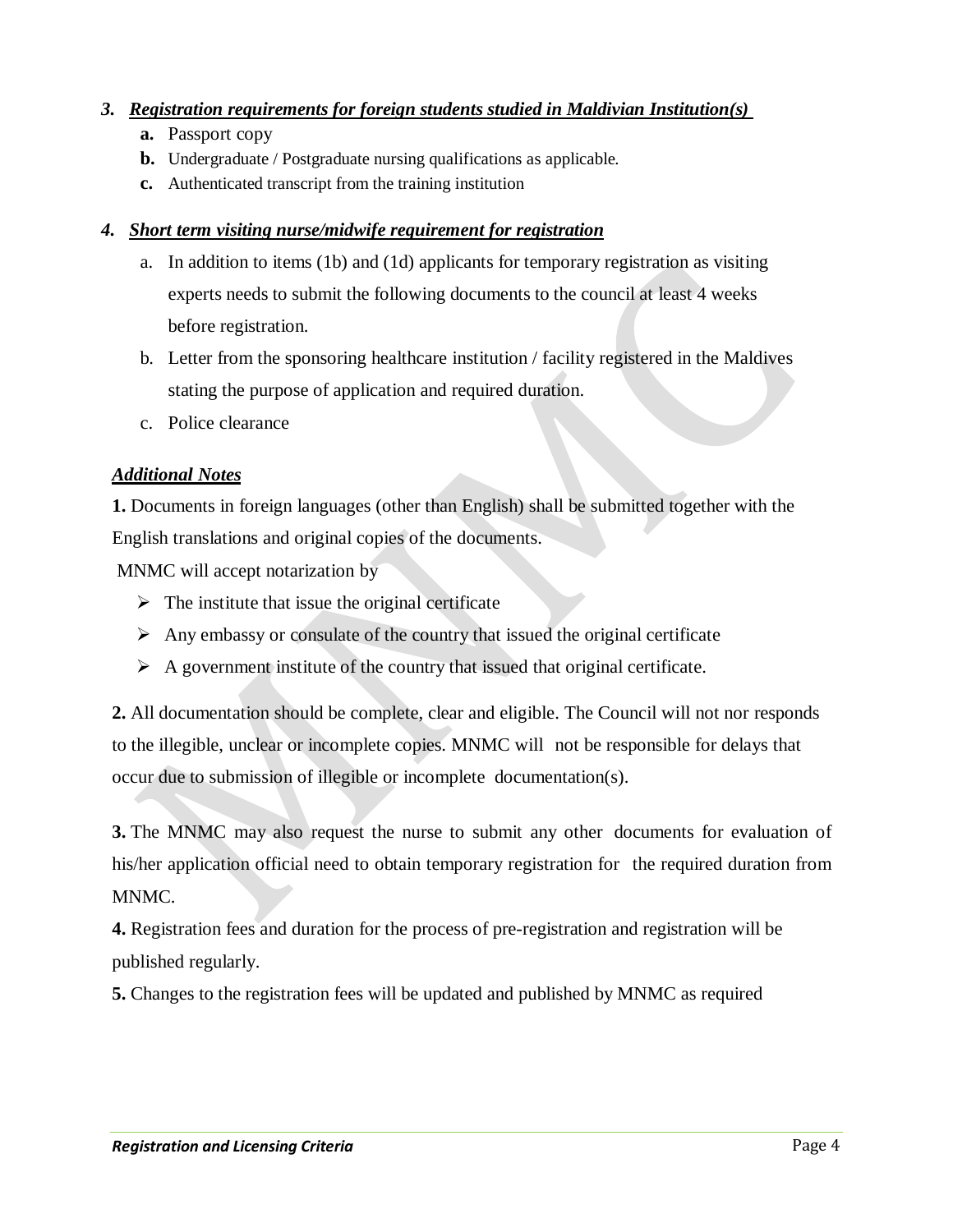## *3. Registration requirements for foreign students studied in Maldivian Institution(s)*

- **a.** Passport copy
- **b.** Undergraduate / Postgraduate nursing qualifications as applicable.
- **c.** Authenticated transcript from the training institution

## *4. Short term visiting nurse/midwife requirement for registration*

- a. In addition to items (1b) and (1d) applicants for temporary registration as visiting experts needs to submit the following documents to the council at least 4 weeks before registration.
- b. Letter from the sponsoring healthcare institution / facility registered in the Maldives stating the purpose of application and required duration.
- c. Police clearance

# *Additional Notes*

**1.** Documents in foreign languages (other than English) shall be submitted together with the English translations and original copies of the documents.

MNMC will accept notarization by

- $\triangleright$  The institute that issue the original certificate
- $\triangleright$  Any embassy or consulate of the country that issued the original certificate
- $\triangleright$  A government institute of the country that issued that original certificate.

**2.** All documentation should be complete, clear and eligible. The Council will not nor responds to the illegible, unclear or incomplete copies. MNMC will not be responsible for delays that occur due to submission of illegible or incomplete documentation(s).

**3.** The MNMC may also request the nurse to submit any other documents for evaluation of his/her application official need to obtain temporary registration for the required duration from MNMC.

**4.** Registration fees and duration for the process of pre-registration and registration will be published regularly.

**5.** Changes to the registration fees will be updated and published by MNMC as required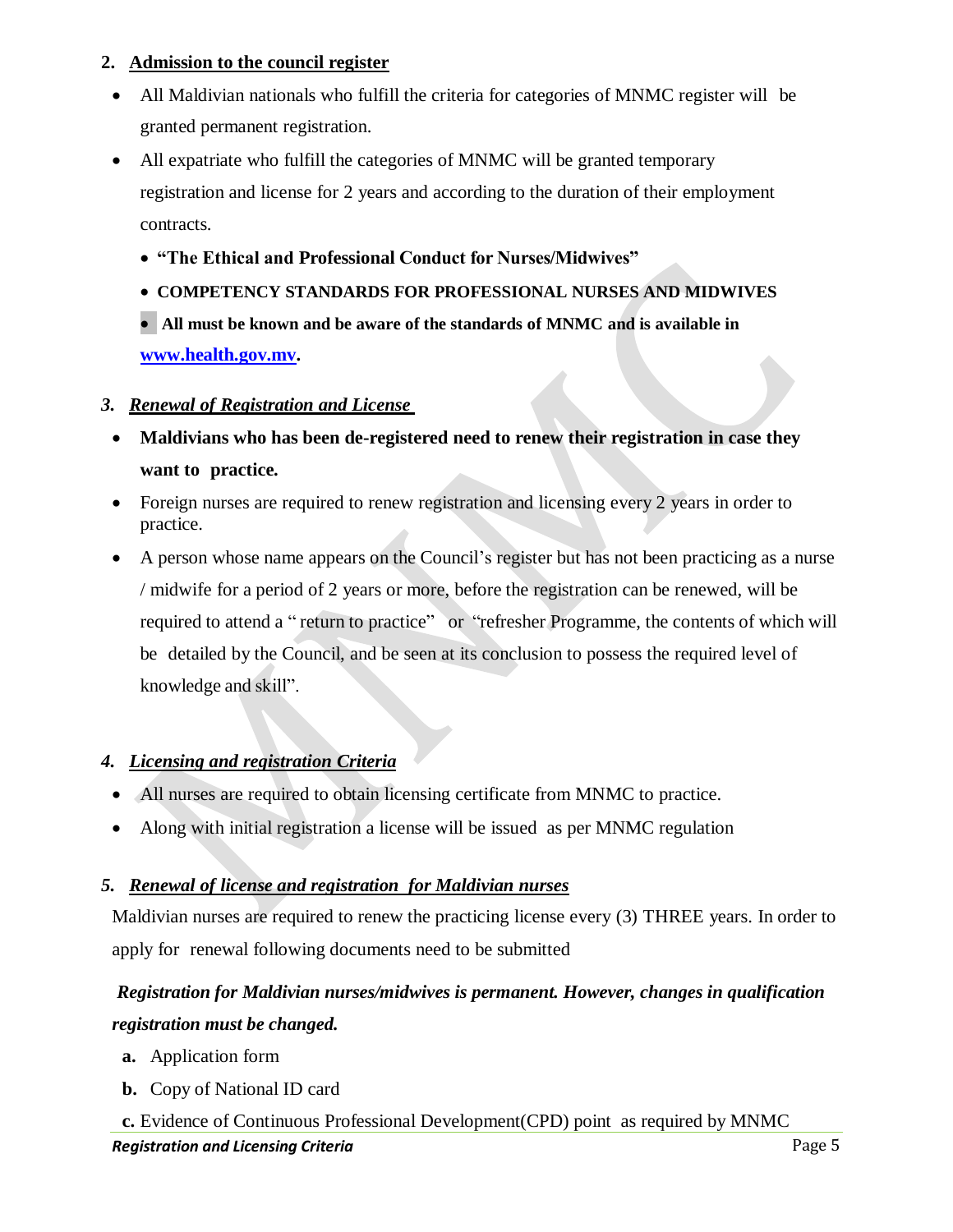#### **2. Admission to the council register**

- All Maldivian nationals who fulfill the criteria for categories of MNMC register will be granted permanent registration.
- All expatriate who fulfill the categories of MNMC will be granted temporary registration and license for 2 years and according to the duration of their employment contracts.
	- **"The Ethical and Professional Conduct for Nurses/Midwives"**
	- **COMPETENCY STANDARDS FOR PROFESSIONAL NURSES AND MIDWIVES**
	- **All must be known and be aware of the standards of MNMC and is available in [www.health.gov.mv.](http://www.health.gov.mv/)**

#### *3. Renewal of Registration and License*

- **Maldivians who has been de-registered need to renew their registration in case they want to practice.**
- Foreign nurses are required to renew registration and licensing every 2 years in order to practice.
- A person whose name appears on the Council's register but has not been practicing as a nurse / midwife for a period of 2 years or more, before the registration can be renewed, will be required to attend a " return to practice" or "refresher Programme, the contents of which will be detailed by the Council, and be seen at its conclusion to possess the required level of knowledge and skill".

# *4. Licensing and registration Criteria*

- All nurses are required to obtain licensing certificate from MNMC to practice.
- Along with initial registration a license will be issued as per MNMC regulation

#### *5. Renewal of license and registration for Maldivian nurses*

Maldivian nurses are required to renew the practicing license every (3) THREE years. In order to apply for renewal following documents need to be submitted

# *Registration for Maldivian nurses/midwives is permanent. However, changes in qualification registration must be changed.*

- **a.** Application form
- **b.** Copy of National ID card

**Registration and Licensing Criteria Page 5 Page 5 Page 5 Page 5 Page 5 c.** Evidence of Continuous Professional Development(CPD) point as required by MNMC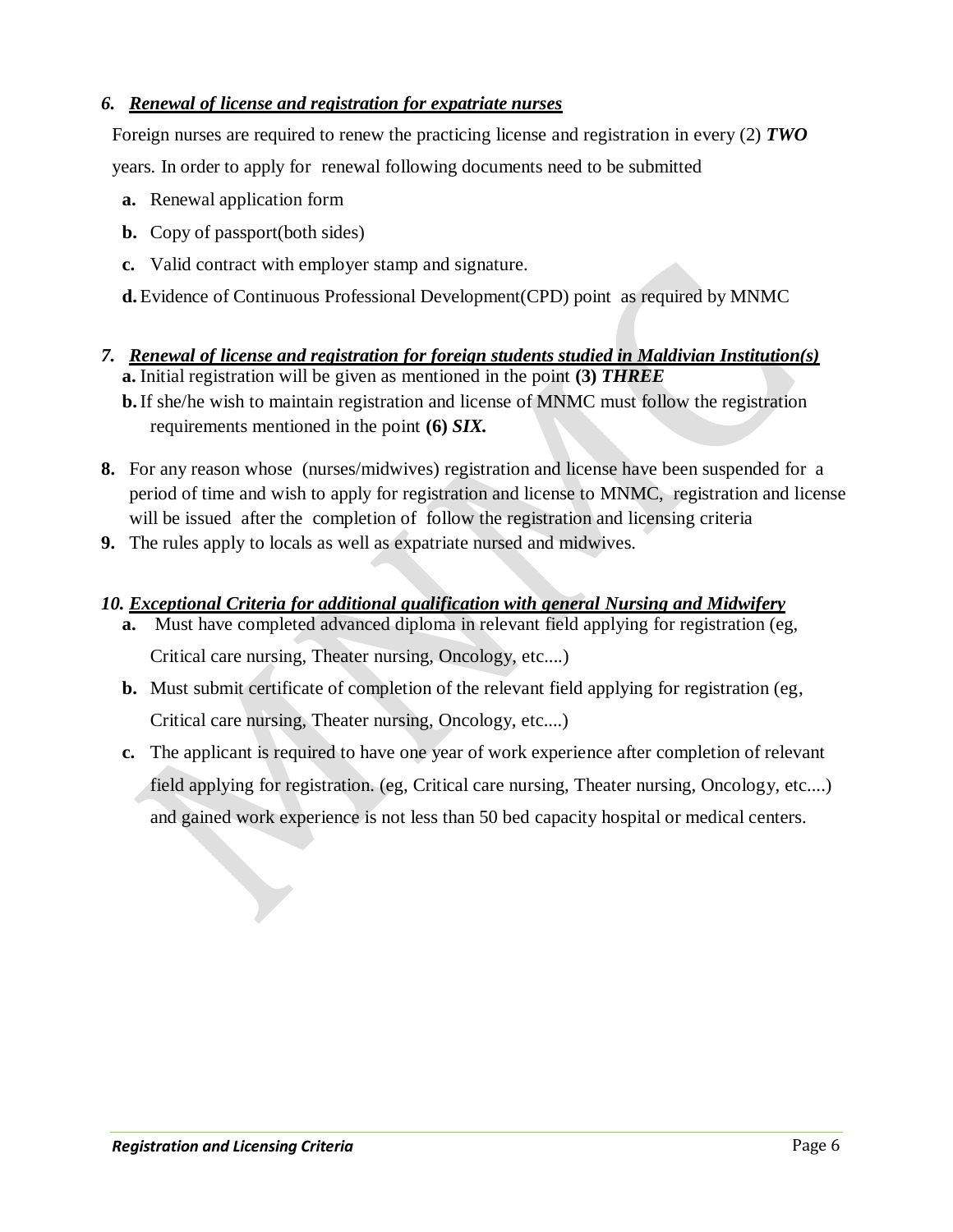# *6. Renewal of license and registration for expatriate nurses*

Foreign nurses are required to renew the practicing license and registration in every (2) *TWO* years. In order to apply for renewal following documents need to be submitted

- **a.** Renewal application form
- **b.** Copy of passport(both sides)
- **c.** Valid contract with employer stamp and signature.
- **d.**Evidence of Continuous Professional Development(CPD) point as required by MNMC
- *7. Renewal of license and registration for foreign students studied in Maldivian Institution(s)* **a.** Initial registration will be given as mentioned in the point **(3)** *THREE* **b.**If she/he wish to maintain registration and license of MNMC must follow the registration requirements mentioned in the point **(6)** *SIX.*
- **8.** For any reason whose (nurses/midwives) registration and license have been suspended for a period of time and wish to apply for registration and license to MNMC, registration and license will be issued after the completion of follow the registration and licensing criteria
- **9.** The rules apply to locals as well as expatriate nursed and midwives.

# *10. Exceptional Criteria for additional qualification with general Nursing and Midwifery*

- **a.** Must have completed advanced diploma in relevant field applying for registration (eg, Critical care nursing, Theater nursing, Oncology, etc....)
- **b.** Must submit certificate of completion of the relevant field applying for registration (eg, Critical care nursing, Theater nursing, Oncology, etc....)
- **c.** The applicant is required to have one year of work experience after completion of relevant field applying for registration. (eg, Critical care nursing, Theater nursing, Oncology, etc....) and gained work experience is not less than 50 bed capacity hospital or medical centers.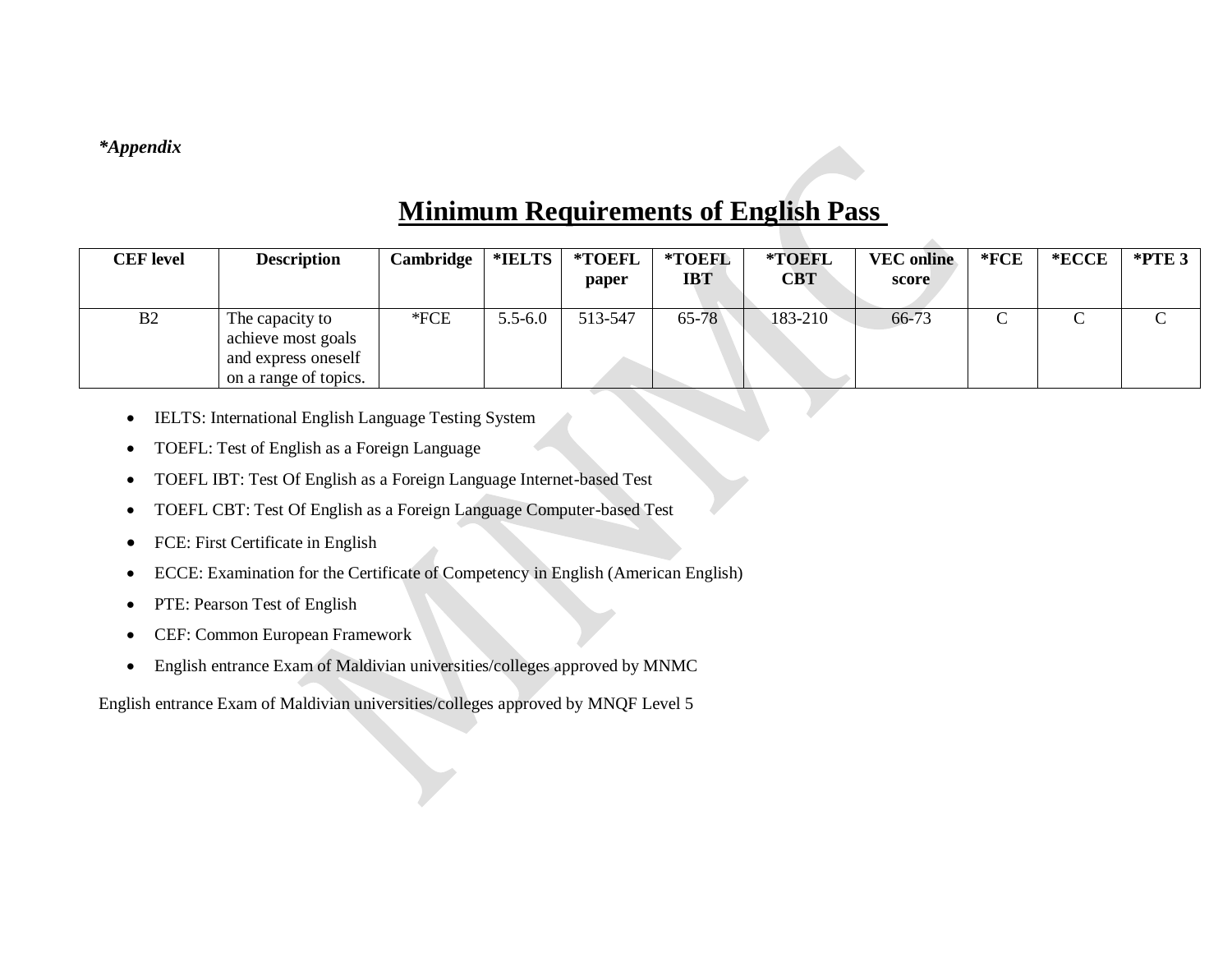## *\*Appendix*

# **Minimum Requirements of English Pass**

| <b>CEF</b> level | <b>Description</b>                                                                    | <b>Cambridge</b> | *IELTS      | *TOEFL<br>paper | *TOEFL<br><b>IBT</b> | *TOEFL<br><b>CBT</b> | <b>VEC</b> online<br>score | $*$ <b>FCE</b> | $*$ <b>ECCE</b> | $*$ PTE 3 |
|------------------|---------------------------------------------------------------------------------------|------------------|-------------|-----------------|----------------------|----------------------|----------------------------|----------------|-----------------|-----------|
| B2               | The capacity to<br>achieve most goals<br>and express oneself<br>on a range of topics. | $*FCE$           | $5.5 - 6.0$ | 513-547         | $65 - 78$            | 183-210              | 66-73                      | ◡              |                 |           |

- IELTS: International English Language Testing System
- TOEFL: Test of English as a Foreign Language
- TOEFL IBT: Test Of English as a Foreign Language Internet-based Test
- TOEFL CBT: Test Of English as a Foreign Language Computer-based Test
- FCE: First Certificate in English
- ECCE: Examination for the Certificate of Competency in English (American English)
- PTE: Pearson Test of English
- CEF: Common European Framework
- English entrance Exam of Maldivian universities/colleges approved by MNMC

English entrance Exam of Maldivian universities/colleges approved by MNQF Level 5